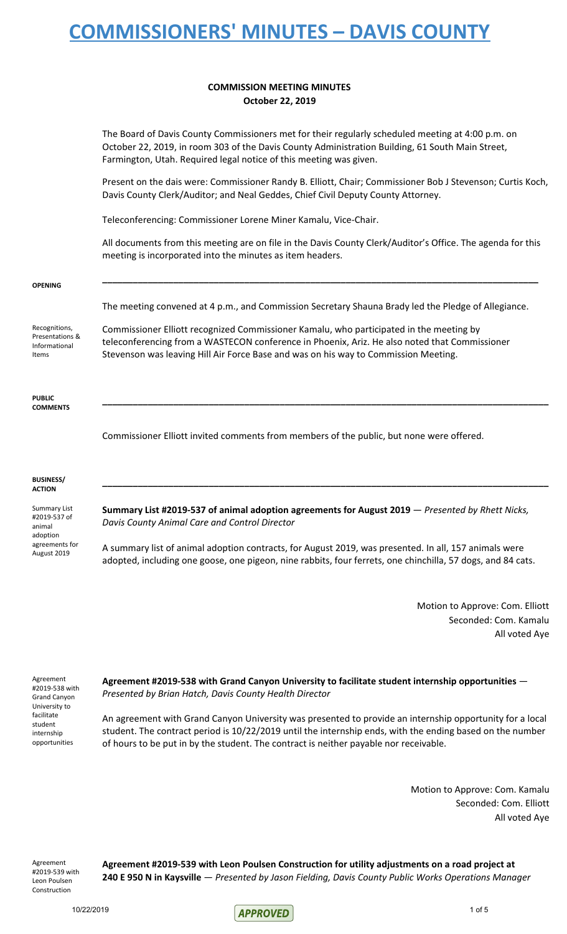### **COMMISSION MEETING MINUTES October 22, 2019**

The Board of Davis County Commissioners met for their regularly scheduled meeting at 4:00 p.m. on October 22, 2019, in room 303 of the Davis County Administration Building, 61 South Main Street, Farmington, Utah. Required legal notice of this meeting was given. Present on the dais were: Commissioner Randy B. Elliott, Chair; Commissioner Bob J Stevenson; Curtis Koch, Davis County Clerk/Auditor; and Neal Geddes, Chief Civil Deputy County Attorney. Teleconferencing: Commissioner Lorene Miner Kamalu, Vice-Chair. All documents from this meeting are on file in the Davis County Clerk/Auditor's Office. The agenda for this meeting is incorporated into the minutes as item headers. **\_\_\_\_\_\_\_\_\_\_\_\_\_\_\_\_\_\_\_\_\_\_\_\_\_\_\_\_\_\_\_\_\_\_\_\_\_\_\_\_\_\_\_\_\_\_\_\_\_\_\_\_\_\_\_\_\_\_\_\_\_\_\_\_\_\_\_\_\_\_\_\_\_\_\_\_\_\_\_\_\_\_\_\_\_\_** The meeting convened at 4 p.m., and Commission Secretary Shauna Brady led the Pledge of Allegiance. Commissioner Elliott recognized Commissioner Kamalu, who participated in the meeting by teleconferencing from a WASTECON conference in Phoenix, Ariz. He also noted that Commissioner Stevenson was leaving Hill Air Force Base and was on his way to Commission Meeting. **\_\_\_\_\_\_\_\_\_\_\_\_\_\_\_\_\_\_\_\_\_\_\_\_\_\_\_\_\_\_\_\_\_\_\_\_\_\_\_\_\_\_\_\_\_\_\_\_\_\_\_\_\_\_\_\_\_\_\_\_\_\_\_\_\_\_\_\_\_\_\_\_\_\_\_\_\_\_\_\_\_\_\_\_\_\_\_\_** Commissioner Elliott invited comments from members of the public, but none were offered. **\_\_\_\_\_\_\_\_\_\_\_\_\_\_\_\_\_\_\_\_\_\_\_\_\_\_\_\_\_\_\_\_\_\_\_\_\_\_\_\_\_\_\_\_\_\_\_\_\_\_\_\_\_\_\_\_\_\_\_\_\_\_\_\_\_\_\_\_\_\_\_\_\_\_\_\_\_\_\_\_\_\_\_\_\_\_\_\_ Summary List #2019-537 of animal adoption agreements for August 2019** — *Presented by Rhett Nicks, Davis County Animal Care and Control Director* A summary list of animal adoption contracts, for August 2019, was presented. In all, 157 animals were adopted, including one goose, one pigeon, nine rabbits, four ferrets, one chinchilla, 57 dogs, and 84 cats.

> Motion to Approve: Com. Elliott Seconded: Com. Kamalu All voted Aye

Agreement #2019-538 with Grand Canyon University to facilitate student internship opportunities

**OPENING**

Recognitions, Presentations & Informational Items

**PUBLIC COMMENTS**

**BUSINESS/ ACTION**

Summary List #2019-537 of animal adoption agreements for August 2019

> **Agreement #2019-538 with Grand Canyon University to facilitate student internship opportunities** — *Presented by Brian Hatch, Davis County Health Director*

An agreement with Grand Canyon University was presented to provide an internship opportunity for a local student. The contract period is 10/22/2019 until the internship ends, with the ending based on the number of hours to be put in by the student. The contract is neither payable nor receivable.

> Motion to Approve: Com. Kamalu Seconded: Com. Elliott All voted Aye

Agreement #2019-539 with Leon Poulsen Construction

**Agreement #2019-539 with Leon Poulsen Construction for utility adjustments on a road project at 240 E 950 N in Kaysville** — *Presented by Jason Fielding, Davis County Public Works Operations Manager*

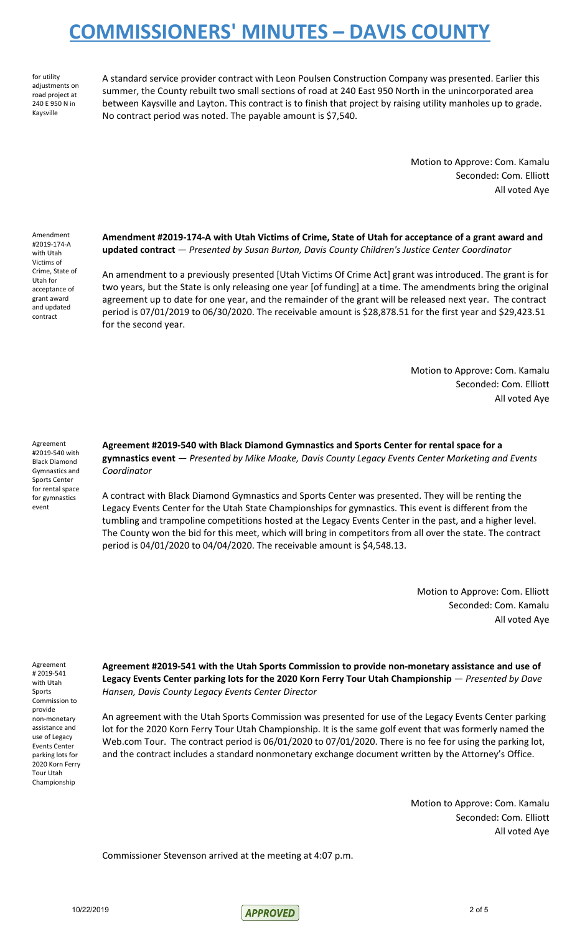for utility adjustments on road project at 240 E 950 N in Kaysville

A standard service provider contract with Leon Poulsen Construction Company was presented. Earlier this summer, the County rebuilt two small sections of road at 240 East 950 North in the unincorporated area between Kaysville and Layton. This contract is to finish that project by raising utility manholes up to grade. No contract period was noted. The payable amount is \$7,540.

> Motion to Approve: Com. Kamalu Seconded: Com. Elliott All voted Aye

Amendment #2019-174-A with Utah Victims of Crime, State of Utah for acceptance of grant award and updated contract

**Amendment #2019-174-A with Utah Victims of Crime, State of Utah for acceptance of a grant award and updated contract** — *Presented by Susan Burton, Davis County Children's Justice Center Coordinator*

An amendment to a previously presented [Utah Victims Of Crime Act] grant was introduced. The grant is for two years, but the State is only releasing one year [of funding] at a time. The amendments bring the original agreement up to date for one year, and the remainder of the grant will be released next year. The contract period is 07/01/2019 to 06/30/2020. The receivable amount is \$28,878.51 for the first year and \$29,423.51 for the second year.

> Motion to Approve: Com. Kamalu Seconded: Com. Elliott All voted Aye

Agreement #2019-540 with Black Diamond Gymnastics and Sports Center for rental space for gymnastics event

**Agreement #2019-540 with Black Diamond Gymnastics and Sports Center for rental space for a gymnastics event** — *Presented by Mike Moake, Davis County Legacy Events Center Marketing and Events Coordinator*

A contract with Black Diamond Gymnastics and Sports Center was presented. They will be renting the Legacy Events Center for the Utah State Championships for gymnastics. This event is different from the tumbling and trampoline competitions hosted at the Legacy Events Center in the past, and a higher level. The County won the bid for this meet, which will bring in competitors from all over the state. The contract period is 04/01/2020 to 04/04/2020. The receivable amount is \$4,548.13.

> Motion to Approve: Com. Elliott Seconded: Com. Kamalu All voted Aye

Agreement # 2019-541 with Utah Sports Commission to provide non-monetary assistance and use of Legacy Events Center parking lots for 2020 Korn Ferry Tour Utah Championship

**Agreement #2019-541 with the Utah Sports Commission to provide non-monetary assistance and use of Legacy Events Center parking lots for the 2020 Korn Ferry Tour Utah Championship** — *Presented by Dave Hansen, Davis County Legacy Events Center Director*

An agreement with the Utah Sports Commission was presented for use of the Legacy Events Center parking lot for the 2020 Korn Ferry Tour Utah Championship. It is the same golf event that was formerly named the Web.com Tour. The contract period is 06/01/2020 to 07/01/2020. There is no fee for using the parking lot, and the contract includes a standard nonmonetary exchange document written by the Attorney's Office.

> Motion to Approve: Com. Kamalu Seconded: Com. Elliott All voted Aye

Commissioner Stevenson arrived at the meeting at 4:07 p.m.

10/22/2019 2 of 5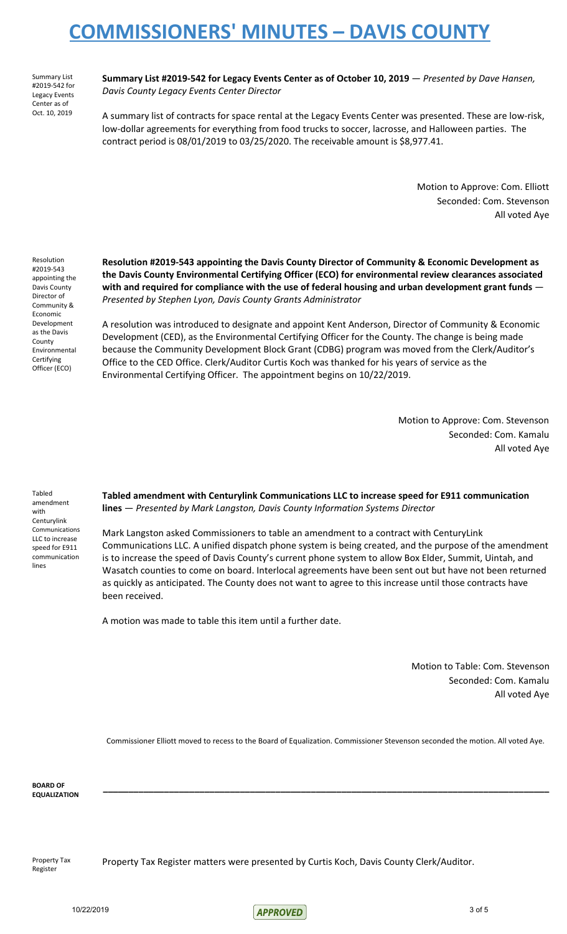Summary List #2019-542 for Legacy Events Center as of Oct. 10, 2019

**Summary List #2019-542 for Legacy Events Center as of October 10, 2019** — *Presented by Dave Hansen, Davis County Legacy Events Center Director*

A summary list of contracts for space rental at the Legacy Events Center was presented. These are low-risk, low-dollar agreements for everything from food trucks to soccer, lacrosse, and Halloween parties. The contract period is 08/01/2019 to 03/25/2020. The receivable amount is \$8,977.41.

> Motion to Approve: Com. Elliott Seconded: Com. Stevenson All voted Aye

Resolution #2019-543 appointing the Davis County Director of Community & Economic Development as the Davis County Environmental **Certifying** Officer (ECO)

**Resolution #2019-543 appointing the Davis County Director of Community & Economic Development as the Davis County Environmental Certifying Officer (ECO) for environmental review clearances associated with and required for compliance with the use of federal housing and urban development grant funds** — *Presented by Stephen Lyon, Davis County Grants Administrator*

A resolution was introduced to designate and appoint Kent Anderson, Director of Community & Economic Development (CED), as the Environmental Certifying Officer for the County. The change is being made because the Community Development Block Grant (CDBG) program was moved from the Clerk/Auditor's Office to the CED Office. Clerk/Auditor Curtis Koch was thanked for his years of service as the Environmental Certifying Officer. The appointment begins on 10/22/2019.

> Motion to Approve: Com. Stevenson Seconded: Com. Kamalu All voted Aye

Tabled amendment with **Centurylink** Communications LLC to increase speed for E911 communication lines

**Tabled amendment with Centurylink Communications LLC to increase speed for E911 communication lines** — *Presented by Mark Langston, Davis County Information Systems Director*

Mark Langston asked Commissioners to table an amendment to a contract with CenturyLink Communications LLC. A unified dispatch phone system is being created, and the purpose of the amendment is to increase the speed of Davis County's current phone system to allow Box Elder, Summit, Uintah, and Wasatch counties to come on board. Interlocal agreements have been sent out but have not been returned as quickly as anticipated. The County does not want to agree to this increase until those contracts have been received.

A motion was made to table this item until a further date.

Motion to Table: Com. Stevenson Seconded: Com. Kamalu All voted Aye

Commissioner Elliott moved to recess to the Board of Equalization. Commissioner Stevenson seconded the motion. All voted Aye.

**\_\_\_\_\_\_\_\_\_\_\_\_\_\_\_\_\_\_\_\_\_\_\_\_\_\_\_\_\_\_\_\_\_\_\_\_\_\_\_\_\_\_\_\_\_\_\_\_\_\_\_\_\_\_\_\_\_\_\_\_\_\_\_\_\_\_\_\_\_\_\_\_\_\_\_\_\_\_\_\_\_\_\_\_\_\_\_\_**

**BOARD OF EQUALIZATION**

Property Tax Register

Property Tax Register matters were presented by Curtis Koch, Davis County Clerk/Auditor.

10/22/2019 3 of 5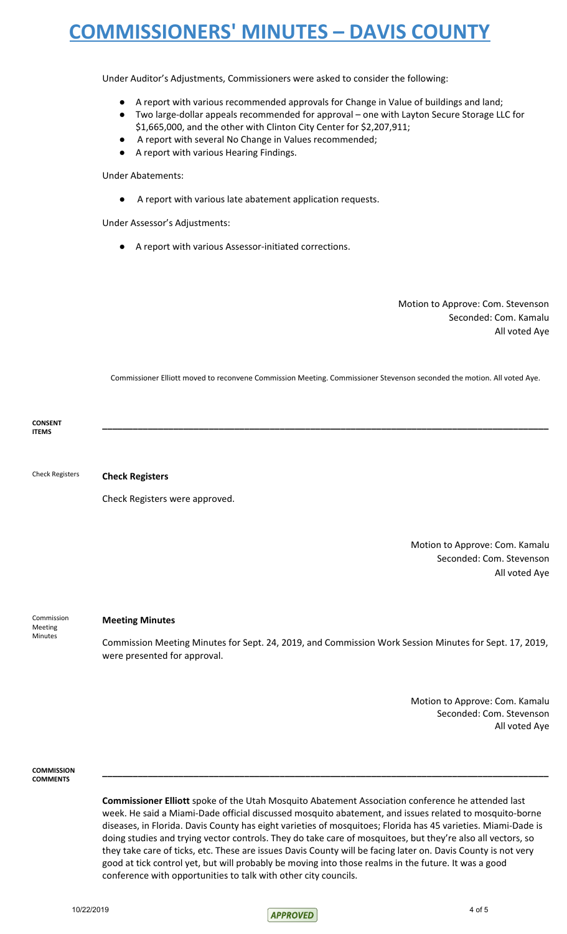Under Auditor's Adjustments, Commissioners were asked to consider the following:

- A report with various recommended approvals for Change in Value of buildings and land;
- Two large-dollar appeals recommended for approval one with Layton Secure Storage LLC for \$1,665,000, and the other with Clinton City Center for \$2,207,911;
- A report with several No Change in Values recommended;
- A report with various Hearing Findings.

Under Abatements:

A report with various late abatement application requests.

Under Assessor's Adjustments:

A report with various Assessor-initiated corrections.

Motion to Approve: Com. Stevenson Seconded: Com. Kamalu All voted Aye

Commissioner Elliott moved to reconvene Commission Meeting. Commissioner Stevenson seconded the motion. All voted Aye.

**\_\_\_\_\_\_\_\_\_\_\_\_\_\_\_\_\_\_\_\_\_\_\_\_\_\_\_\_\_\_\_\_\_\_\_\_\_\_\_\_\_\_\_\_\_\_\_\_\_\_\_\_\_\_\_\_\_\_\_\_\_\_\_\_\_\_\_\_\_\_\_\_\_\_\_\_\_\_\_\_\_\_\_\_\_\_\_\_**

**CONSENT ITEMS**

Check Registers **Check Registers**

Check Registers were approved.

Motion to Approve: Com. Kamalu Seconded: Com. Stevenson All voted Aye

Commission Meeting Minutes

### **Meeting Minutes**

Commission Meeting Minutes for Sept. 24, 2019, and Commission Work Session Minutes for Sept. 17, 2019, were presented for approval.

> Motion to Approve: Com. Kamalu Seconded: Com. Stevenson All voted Aye

**COMMISSION COMMENTS**

> **Commissioner Elliott** spoke of the Utah Mosquito Abatement Association conference he attended last week. He said a Miami-Dade official discussed mosquito abatement, and issues related to mosquito-borne diseases, in Florida. Davis County has eight varieties of mosquitoes; Florida has 45 varieties. Miami-Dade is doing studies and trying vector controls. They do take care of mosquitoes, but they're also all vectors, so they take care of ticks, etc. These are issues Davis County will be facing later on. Davis County is not very good at tick control yet, but will probably be moving into those realms in the future. It was a good conference with opportunities to talk with other city councils.

**\_\_\_\_\_\_\_\_\_\_\_\_\_\_\_\_\_\_\_\_\_\_\_\_\_\_\_\_\_\_\_\_\_\_\_\_\_\_\_\_\_\_\_\_\_\_\_\_\_\_\_\_\_\_\_\_\_\_\_\_\_\_\_\_\_\_\_\_\_\_\_\_\_\_\_\_\_\_\_\_\_\_\_\_\_\_\_\_**